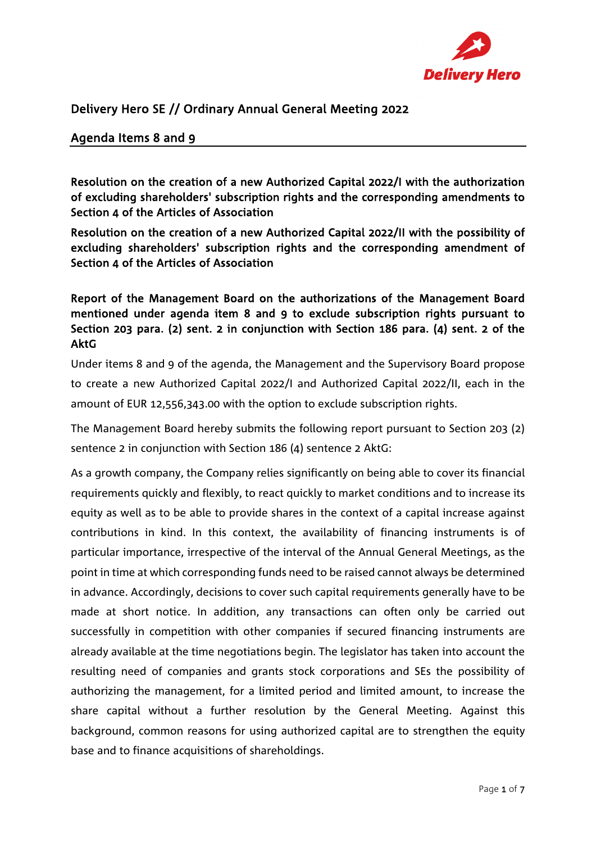

# Delivery Hero SE // Ordinary Annual General Meeting 2022

## Agenda Items 8 and 9

Resolution on the creation of a new Authorized Capital 2022/I with the authorization of excluding shareholders' subscription rights and the corresponding amendments to Section 4 of the Articles of Association

Resolution on the creation of a new Authorized Capital 2022/II with the possibility of excluding shareholders' subscription rights and the corresponding amendment of Section 4 of the Articles of Association

# Report of the Management Board on the authorizations of the Management Board mentioned under agenda item 8 and 9 to exclude subscription rights pursuant to Section 203 para. (2) sent. 2 in conjunction with Section 186 para. (4) sent. 2 of the AktG

Under items 8 and 9 of the agenda, the Management and the Supervisory Board propose to create a new Authorized Capital 2022/I and Authorized Capital 2022/II, each in the amount of EUR 12,556,343.00 with the option to exclude subscription rights.

The Management Board hereby submits the following report pursuant to Section 203 (2) sentence 2 in conjunction with Section 186 (4) sentence 2 AktG:

As a growth company, the Company relies significantly on being able to cover its financial requirements quickly and flexibly, to react quickly to market conditions and to increase its equity as well as to be able to provide shares in the context of a capital increase against contributions in kind. In this context, the availability of financing instruments is of particular importance, irrespective of the interval of the Annual General Meetings, as the point in time at which corresponding funds need to be raised cannot always be determined in advance. Accordingly, decisions to cover such capital requirements generally have to be made at short notice. In addition, any transactions can often only be carried out successfully in competition with other companies if secured financing instruments are already available at the time negotiations begin. The legislator has taken into account the resulting need of companies and grants stock corporations and SEs the possibility of authorizing the management, for a limited period and limited amount, to increase the share capital without a further resolution by the General Meeting. Against this background, common reasons for using authorized capital are to strengthen the equity base and to finance acquisitions of shareholdings.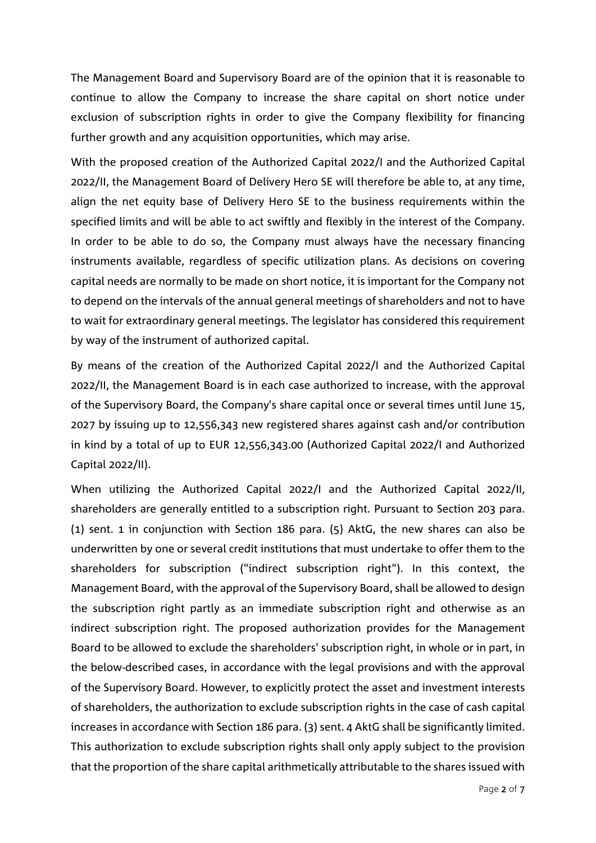The Management Board and Supervisory Board are of the opinion that it is reasonable to continue to allow the Company to increase the share capital on short notice under exclusion of subscription rights in order to give the Company flexibility for financing further growth and any acquisition opportunities, which may arise.

With the proposed creation of the Authorized Capital 2022/I and the Authorized Capital 2022/II, the Management Board of Delivery Hero SE will therefore be able to, at any time, align the net equity base of Delivery Hero SE to the business requirements within the specified limits and will be able to act swiftly and flexibly in the interest of the Company. In order to be able to do so, the Company must always have the necessary financing instruments available, regardless of specific utilization plans. As decisions on covering capital needs are normally to be made on short notice, it is important for the Company not to depend on the intervals of the annual general meetings of shareholders and not to have to wait for extraordinary general meetings. The legislator has considered this requirement by way of the instrument of authorized capital.

By means of the creation of the Authorized Capital 2022/I and the Authorized Capital 2022/II, the Management Board is in each case authorized to increase, with the approval of the Supervisory Board, the Company's share capital once or several times until June 15, 2027 by issuing up to 12,556,343 new registered shares against cash and/or contribution in kind by a total of up to EUR 12,556,343.00 (Authorized Capital 2022/I and Authorized Capital 2022/II).

When utilizing the Authorized Capital 2022/I and the Authorized Capital 2022/II, shareholders are generally entitled to a subscription right. Pursuant to Section 203 para. (1) sent. 1 in conjunction with Section 186 para. (5) AktG, the new shares can also be underwritten by one or several credit institutions that must undertake to offer them to the shareholders for subscription ("indirect subscription right"). In this context, the Management Board, with the approval of the Supervisory Board, shall be allowed to design the subscription right partly as an immediate subscription right and otherwise as an indirect subscription right. The proposed authorization provides for the Management Board to be allowed to exclude the shareholders' subscription right, in whole or in part, in the below-described cases, in accordance with the legal provisions and with the approval of the Supervisory Board. However, to explicitly protect the asset and investment interests of shareholders, the authorization to exclude subscription rights in the case of cash capital increases in accordance with Section 186 para. (3) sent. 4 AktG shall be significantly limited. This authorization to exclude subscription rights shall only apply subject to the provision that the proportion of the share capital arithmetically attributable to the shares issued with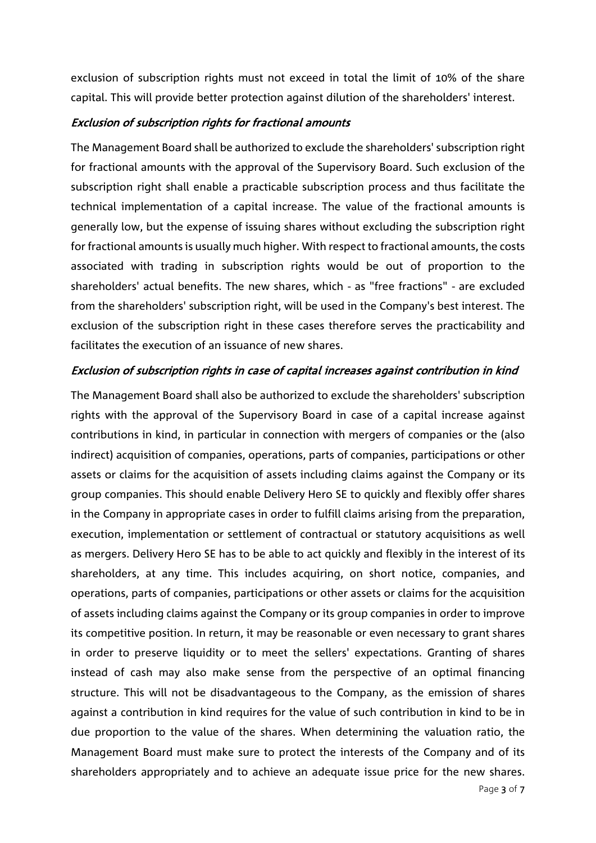exclusion of subscription rights must not exceed in total the limit of 10% of the share capital. This will provide better protection against dilution of the shareholders' interest.

#### Exclusion of subscription rights for fractional amounts

The Management Board shall be authorized to exclude the shareholders' subscription right for fractional amounts with the approval of the Supervisory Board. Such exclusion of the subscription right shall enable a practicable subscription process and thus facilitate the technical implementation of a capital increase. The value of the fractional amounts is generally low, but the expense of issuing shares without excluding the subscription right for fractional amounts is usually much higher. With respect to fractional amounts, the costs associated with trading in subscription rights would be out of proportion to the shareholders' actual benefits. The new shares, which - as "free fractions" - are excluded from the shareholders' subscription right, will be used in the Company's best interest. The exclusion of the subscription right in these cases therefore serves the practicability and facilitates the execution of an issuance of new shares.

#### Exclusion of subscription rights in case of capital increases against contribution in kind

The Management Board shall also be authorized to exclude the shareholders' subscription rights with the approval of the Supervisory Board in case of a capital increase against contributions in kind, in particular in connection with mergers of companies or the (also indirect) acquisition of companies, operations, parts of companies, participations or other assets or claims for the acquisition of assets including claims against the Company or its group companies. This should enable Delivery Hero SE to quickly and flexibly offer shares in the Company in appropriate cases in order to fulfill claims arising from the preparation, execution, implementation or settlement of contractual or statutory acquisitions as well as mergers. Delivery Hero SE has to be able to act quickly and flexibly in the interest of its shareholders, at any time. This includes acquiring, on short notice, companies, and operations, parts of companies, participations or other assets or claims for the acquisition of assets including claims against the Company or its group companies in order to improve its competitive position. In return, it may be reasonable or even necessary to grant shares in order to preserve liquidity or to meet the sellers' expectations. Granting of shares instead of cash may also make sense from the perspective of an optimal financing structure. This will not be disadvantageous to the Company, as the emission of shares against a contribution in kind requires for the value of such contribution in kind to be in due proportion to the value of the shares. When determining the valuation ratio, the Management Board must make sure to protect the interests of the Company and of its shareholders appropriately and to achieve an adequate issue price for the new shares.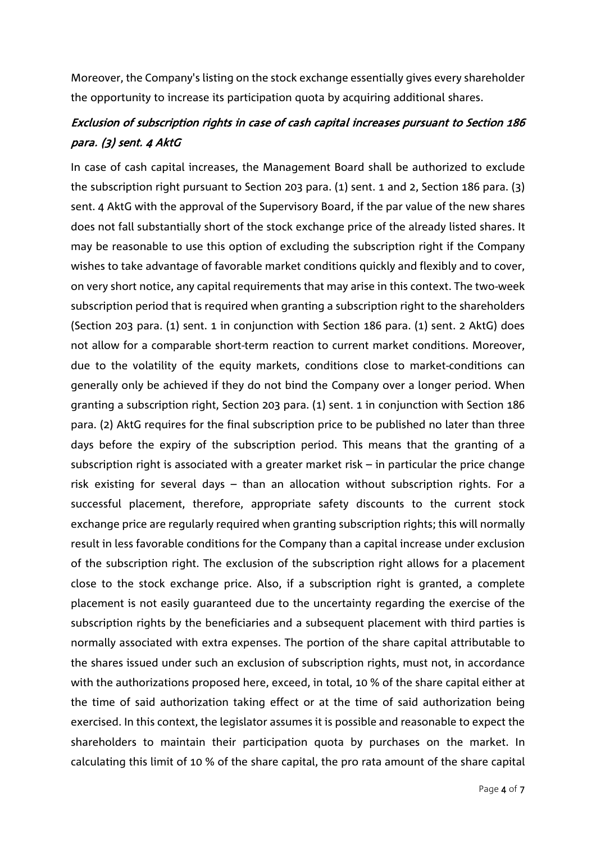Moreover, the Company's listing on the stock exchange essentially gives every shareholder the opportunity to increase its participation quota by acquiring additional shares.

# Exclusion of subscription rights in case of cash capital increases pursuant to Section 186 para. (3) sent. 4 AktG

In case of cash capital increases, the Management Board shall be authorized to exclude the subscription right pursuant to Section 203 para. (1) sent. 1 and 2, Section 186 para. (3) sent. 4 AktG with the approval of the Supervisory Board, if the par value of the new shares does not fall substantially short of the stock exchange price of the already listed shares. It may be reasonable to use this option of excluding the subscription right if the Company wishes to take advantage of favorable market conditions quickly and flexibly and to cover, on very short notice, any capital requirements that may arise in this context. The two-week subscription period that is required when granting a subscription right to the shareholders (Section 203 para. (1) sent. 1 in conjunction with Section 186 para. (1) sent. 2 AktG) does not allow for a comparable short-term reaction to current market conditions. Moreover, due to the volatility of the equity markets, conditions close to market-conditions can generally only be achieved if they do not bind the Company over a longer period. When granting a subscription right, Section 203 para. (1) sent. 1 in conjunction with Section 186 para. (2) AktG requires for the final subscription price to be published no later than three days before the expiry of the subscription period. This means that the granting of a subscription right is associated with a greater market risk – in particular the price change risk existing for several days – than an allocation without subscription rights. For a successful placement, therefore, appropriate safety discounts to the current stock exchange price are regularly required when granting subscription rights; this will normally result in less favorable conditions for the Company than a capital increase under exclusion of the subscription right. The exclusion of the subscription right allows for a placement close to the stock exchange price. Also, if a subscription right is granted, a complete placement is not easily guaranteed due to the uncertainty regarding the exercise of the subscription rights by the beneficiaries and a subsequent placement with third parties is normally associated with extra expenses. The portion of the share capital attributable to the shares issued under such an exclusion of subscription rights, must not, in accordance with the authorizations proposed here, exceed, in total, 10 % of the share capital either at the time of said authorization taking effect or at the time of said authorization being exercised. In this context, the legislator assumes it is possible and reasonable to expect the shareholders to maintain their participation quota by purchases on the market. In calculating this limit of 10 % of the share capital, the pro rata amount of the share capital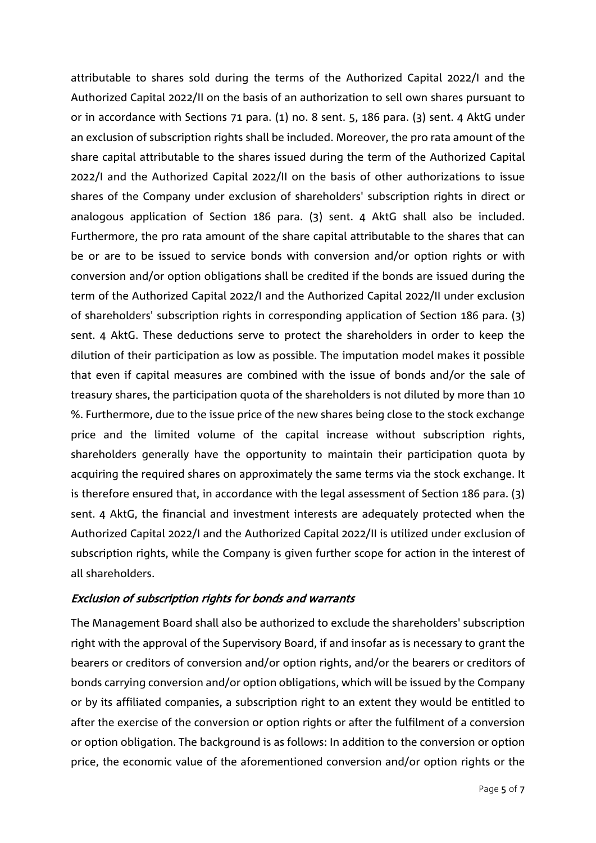attributable to shares sold during the terms of the Authorized Capital 2022/I and the Authorized Capital 2022/II on the basis of an authorization to sell own shares pursuant to or in accordance with Sections 71 para. (1) no. 8 sent. 5, 186 para. (3) sent. 4 AktG under an exclusion of subscription rights shall be included. Moreover, the pro rata amount of the share capital attributable to the shares issued during the term of the Authorized Capital 2022/I and the Authorized Capital 2022/II on the basis of other authorizations to issue shares of the Company under exclusion of shareholders' subscription rights in direct or analogous application of Section 186 para. (3) sent. 4 AktG shall also be included. Furthermore, the pro rata amount of the share capital attributable to the shares that can be or are to be issued to service bonds with conversion and/or option rights or with conversion and/or option obligations shall be credited if the bonds are issued during the term of the Authorized Capital 2022/I and the Authorized Capital 2022/II under exclusion of shareholders' subscription rights in corresponding application of Section 186 para. (3) sent. 4 AktG. These deductions serve to protect the shareholders in order to keep the dilution of their participation as low as possible. The imputation model makes it possible that even if capital measures are combined with the issue of bonds and/or the sale of treasury shares, the participation quota of the shareholders is not diluted by more than 10 %. Furthermore, due to the issue price of the new shares being close to the stock exchange price and the limited volume of the capital increase without subscription rights, shareholders generally have the opportunity to maintain their participation quota by acquiring the required shares on approximately the same terms via the stock exchange. It is therefore ensured that, in accordance with the legal assessment of Section 186 para. (3) sent. 4 AktG, the financial and investment interests are adequately protected when the Authorized Capital 2022/I and the Authorized Capital 2022/II is utilized under exclusion of subscription rights, while the Company is given further scope for action in the interest of all shareholders.

### Exclusion of subscription rights for bonds and warrants

The Management Board shall also be authorized to exclude the shareholders' subscription right with the approval of the Supervisory Board, if and insofar as is necessary to grant the bearers or creditors of conversion and/or option rights, and/or the bearers or creditors of bonds carrying conversion and/or option obligations, which will be issued by the Company or by its affiliated companies, a subscription right to an extent they would be entitled to after the exercise of the conversion or option rights or after the fulfilment of a conversion or option obligation. The background is as follows: In addition to the conversion or option price, the economic value of the aforementioned conversion and/or option rights or the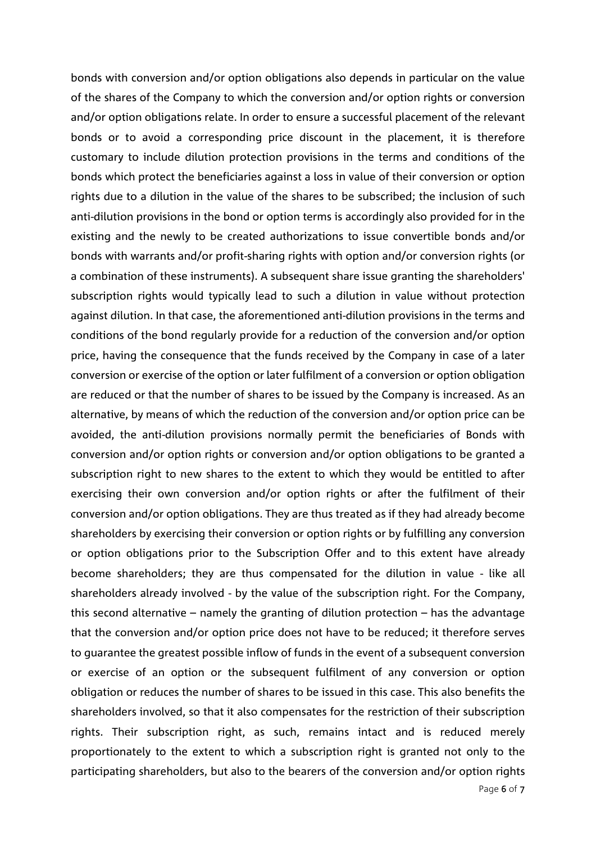Page 6 of 7 bonds with conversion and/or option obligations also depends in particular on the value of the shares of the Company to which the conversion and/or option rights or conversion and/or option obligations relate. In order to ensure a successful placement of the relevant bonds or to avoid a corresponding price discount in the placement, it is therefore customary to include dilution protection provisions in the terms and conditions of the bonds which protect the beneficiaries against a loss in value of their conversion or option rights due to a dilution in the value of the shares to be subscribed; the inclusion of such anti-dilution provisions in the bond or option terms is accordingly also provided for in the existing and the newly to be created authorizations to issue convertible bonds and/or bonds with warrants and/or profit-sharing rights with option and/or conversion rights (or a combination of these instruments). A subsequent share issue granting the shareholders' subscription rights would typically lead to such a dilution in value without protection against dilution. In that case, the aforementioned anti-dilution provisions in the terms and conditions of the bond regularly provide for a reduction of the conversion and/or option price, having the consequence that the funds received by the Company in case of a later conversion or exercise of the option or later fulfilment of a conversion or option obligation are reduced or that the number of shares to be issued by the Company is increased. As an alternative, by means of which the reduction of the conversion and/or option price can be avoided, the anti-dilution provisions normally permit the beneficiaries of Bonds with conversion and/or option rights or conversion and/or option obligations to be granted a subscription right to new shares to the extent to which they would be entitled to after exercising their own conversion and/or option rights or after the fulfilment of their conversion and/or option obligations. They are thus treated as if they had already become shareholders by exercising their conversion or option rights or by fulfilling any conversion or option obligations prior to the Subscription Offer and to this extent have already become shareholders; they are thus compensated for the dilution in value - like all shareholders already involved - by the value of the subscription right. For the Company, this second alternative – namely the granting of dilution protection – has the advantage that the conversion and/or option price does not have to be reduced; it therefore serves to guarantee the greatest possible inflow of funds in the event of a subsequent conversion or exercise of an option or the subsequent fulfilment of any conversion or option obligation or reduces the number of shares to be issued in this case. This also benefits the shareholders involved, so that it also compensates for the restriction of their subscription rights. Their subscription right, as such, remains intact and is reduced merely proportionately to the extent to which a subscription right is granted not only to the participating shareholders, but also to the bearers of the conversion and/or option rights